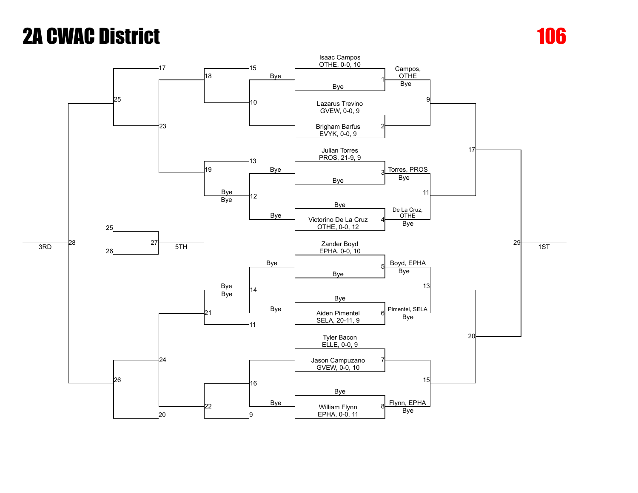

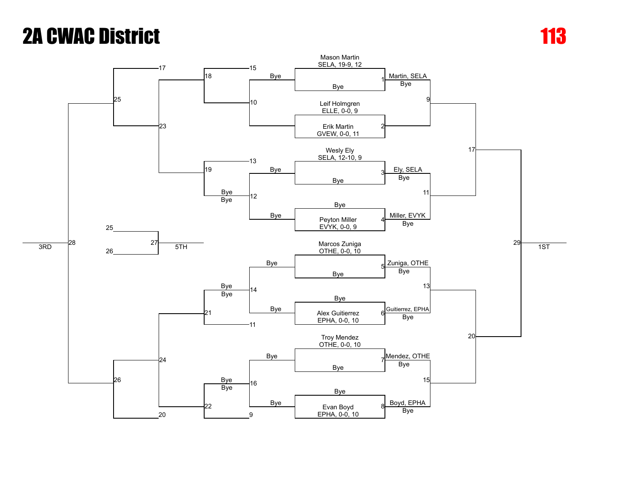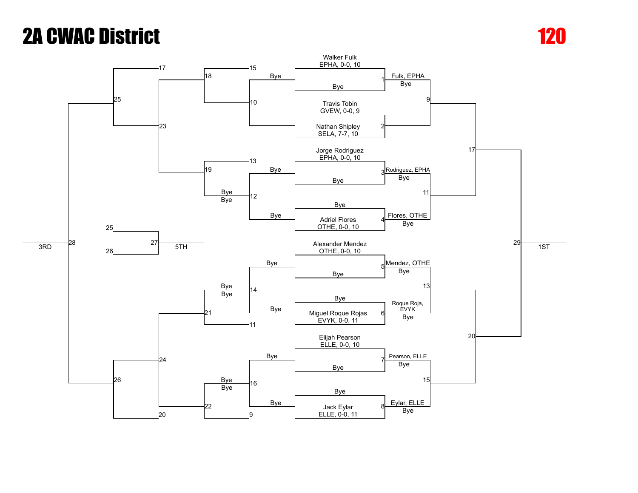

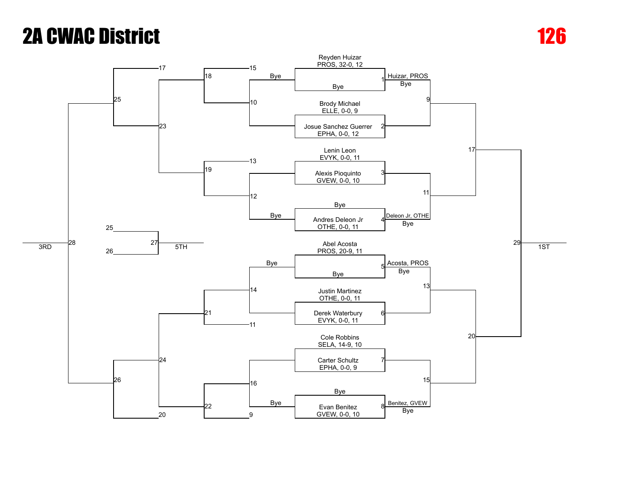